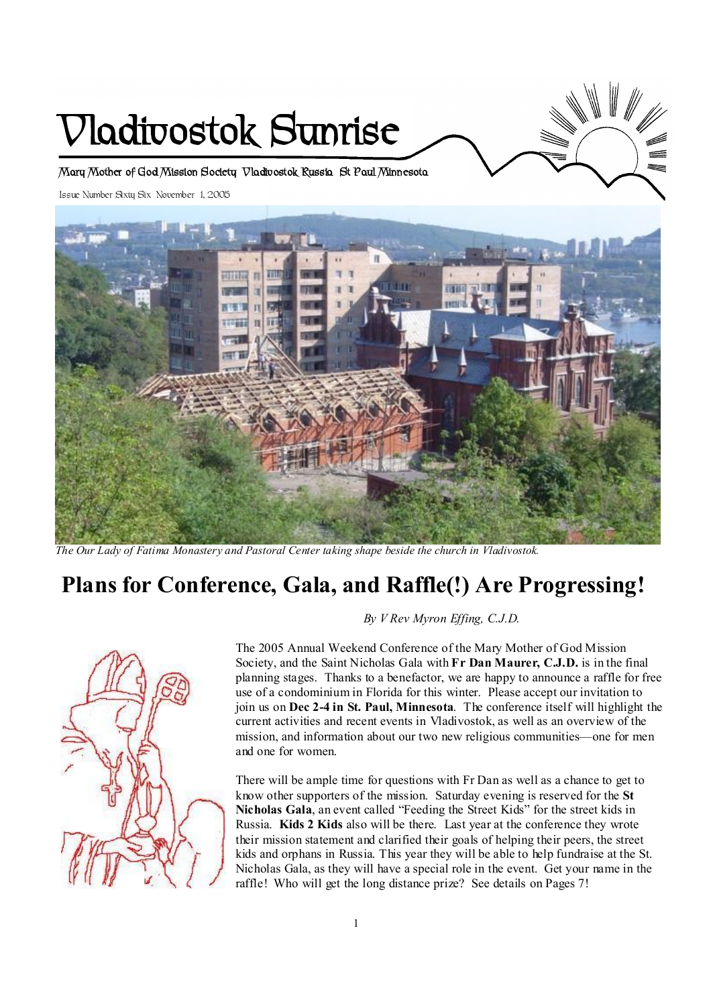# **Vladivostok Sunrise**

**Mary Mother of God Mission Society Vladivostok Russia St Paul Minnesota** 

Issue Number Sixty Six November 1, 2005



*The Our Lady of Fatima Monastery and Pastoral Center taking shape beside the church in Vladivostok.* 

## **Plans for Conference, Gala, and Raffle(!) Are Progressing!**



 *By V Rev Myron Effing, C.J.D.* 

The 2005 Annual Weekend Conference of the Mary Mother of God Mission Society, and the Saint Nicholas Gala with **Fr Dan Maurer, C.J.D.** is in the final planning stages. Thanks to a benefactor, we are happy to announce a raffle for free use of a condominium in Florida for this winter. Please accept our invitation to join us on **Dec 2-4 in St. Paul, Minnesota**. The conference itself will highlight the current activities and recent events in Vladivostok, as well as an overview of the mission, and information about our two new religious communities—one for men and one for women.

There will be ample time for questions with Fr Dan as well as a chance to get to know other supporters of the mission. Saturday evening is reserved for the **St Nicholas Gala**, an event called "Feeding the Street Kids" for the street kids in Russia. **Kids 2 Kids** also will be there. Last year at the conference they wrote their mission statement and clarified their goals of helping their peers, the street kids and orphans in Russia. This year they will be able to help fundraise at the St. Nicholas Gala, as they will have a special role in the event. Get your name in the raffle! Who will get the long distance prize? See details on Pages 7!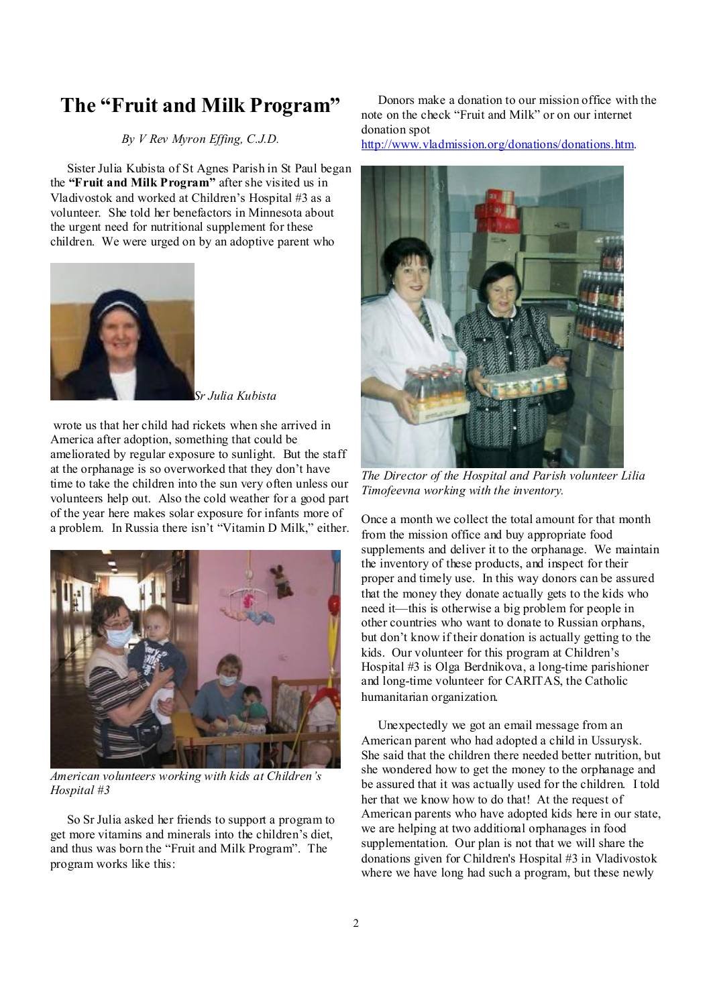## **The "Fruit and Milk Program"**

#### *By V Rev Myron Effing, C.J.D.*

 Sister Julia Kubista of St Agnes Parish in St Paul began the **"Fruit and Milk Program"** after she visited us in Vladivostok and worked at Children's Hospital #3 as a volunteer. She told her benefactors in Minnesota about the urgent need for nutritional supplement for these children. We were urged on by an adoptive parent who



*Sr Julia Kubista* 

wrote us that her child had rickets when she arrived in America after adoption, something that could be ameliorated by regular exposure to sunlight. But the staff at the orphanage is so overworked that they don't have time to take the children into the sun very often unless our volunteers help out. Also the cold weather for a good part of the year here makes solar exposure for infants more of a problem. In Russia there isn't "Vitamin D Milk," either.



*American volunteers working with kids at Children's Hospital #3* 

 So Sr Julia asked her friends to support a program to get more vitamins and minerals into the children's diet, and thus was born the "Fruit and Milk Program". The program works like this:

 Donors make a donation to our mission office with the note on the check "Fruit and Milk" or on our internet donation spot

<http://www.vladmission.org/donations/donations.htm>.



*The Director of the Hospital and Parish volunteer Lilia Timofeevna working with the inventory.* 

Once a month we collect the total amount for that month from the mission office and buy appropriate food supplements and deliver it to the orphanage. We maintain the inventory of these products, and inspect for their proper and timely use. In this way donors can be assured that the money they donate actually gets to the kids who need it—this is otherwise a big problem for people in other countries who want to donate to Russian orphans, but don't know if their donation is actually getting to the kids. Our volunteer for this program at Children's Hospital #3 is Olga Berdnikova, a long-time parishioner and long-time volunteer for CARITAS, the Catholic humanitarian organization.

 Unexpectedly we got an email message from an American parent who had adopted a child in Ussurysk. She said that the children there needed better nutrition, but she wondered how to get the money to the orphanage and be assured that it was actually used for the children. I told her that we know how to do that! At the request of American parents who have adopted kids here in our state, we are helping at two additional orphanages in food supplementation. Our plan is not that we will share the donations given for Children's Hospital #3 in Vladivostok where we have long had such a program, but these newly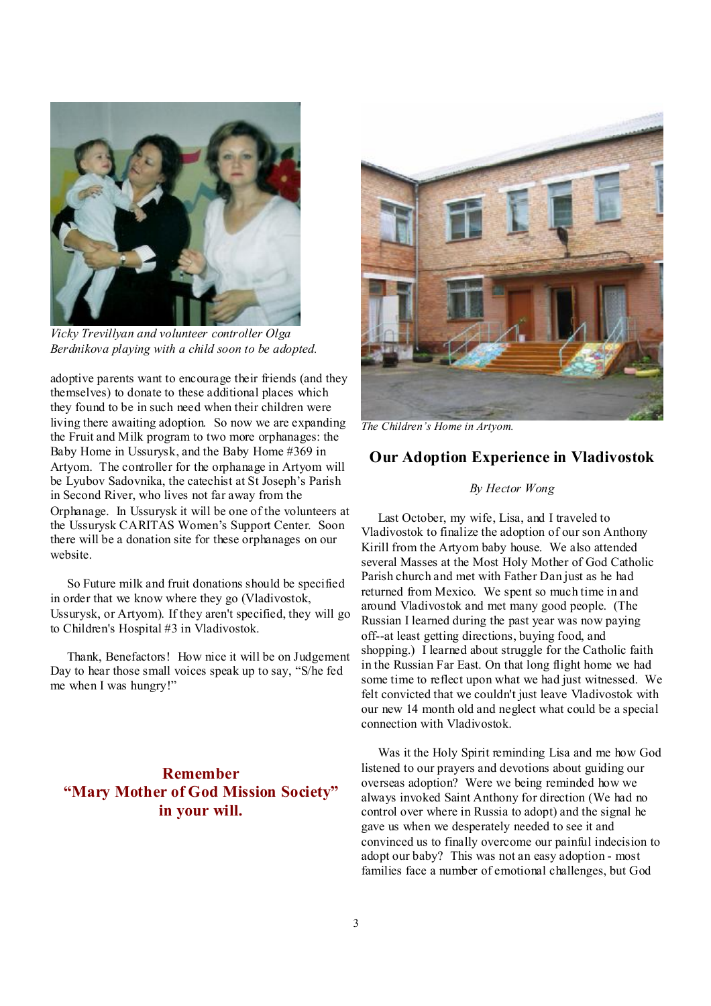

*Vicky Trevillyan and volunteer controller Olga Berdnikova playing with a child soon to be adopted.* 

adoptive parents want to encourage their friends (and they themselves) to donate to these additional places which they found to be in such need when their children were living there awaiting adoption. So now we are expanding the Fruit and Milk program to two more orphanages: the Baby Home in Ussurysk, and the Baby Home #369 in Artyom. The controller for the orphanage in Artyom will be Lyubov Sadovnika, the catechist at St Joseph's Parish in Second River, who lives not far away from the Orphanage. In Ussurysk it will be one of the volunteers at the Ussurysk CARITAS Women's Support Center. Soon there will be a donation site for these orphanages on our website.

 So Future milk and fruit donations should be specified in order that we know where they go (Vladivostok, Ussurysk, or Artyom). If they aren't specified, they will go to Children's Hospital #3 in Vladivostok.

 Thank, Benefactors! How nice it will be on Judgement Day to hear those small voices speak up to say, "S/he fed me when I was hungry!"

## **Remember "Mary Mother of God Mission Society" in your will.**



*The Children's Home in Artyom.* 

#### **Our Adoption Experience in Vladivostok**

#### *By Hector Wong*

 Last October, my wife, Lisa, and I traveled to Vladivostok to finalize the adoption of our son Anthony Kirill from the Artyom baby house. We also attended several Masses at the Most Holy Mother of God Catholic Parish church and met with Father Dan just as he had returned from Mexico. We spent so much time in and around Vladivostok and met many good people. (The Russian I learned during the past year was now paying off--at least getting directions, buying food, and shopping.) I learned about struggle for the Catholic faith in the Russian Far East. On that long flight home we had some time to reflect upon what we had just witnessed. We felt convicted that we couldn't just leave Vladivostok with our new 14 month old and neglect what could be a special connection with Vladivostok.

 Was it the Holy Spirit reminding Lisa and me how God listened to our prayers and devotions about guiding our overseas adoption? Were we being reminded how we always invoked Saint Anthony for direction (We had no control over where in Russia to adopt) and the signal he gave us when we desperately needed to see it and convinced us to finally overcome our painful indecision to adopt our baby? This was not an easy adoption - most families face a number of emotional challenges, but God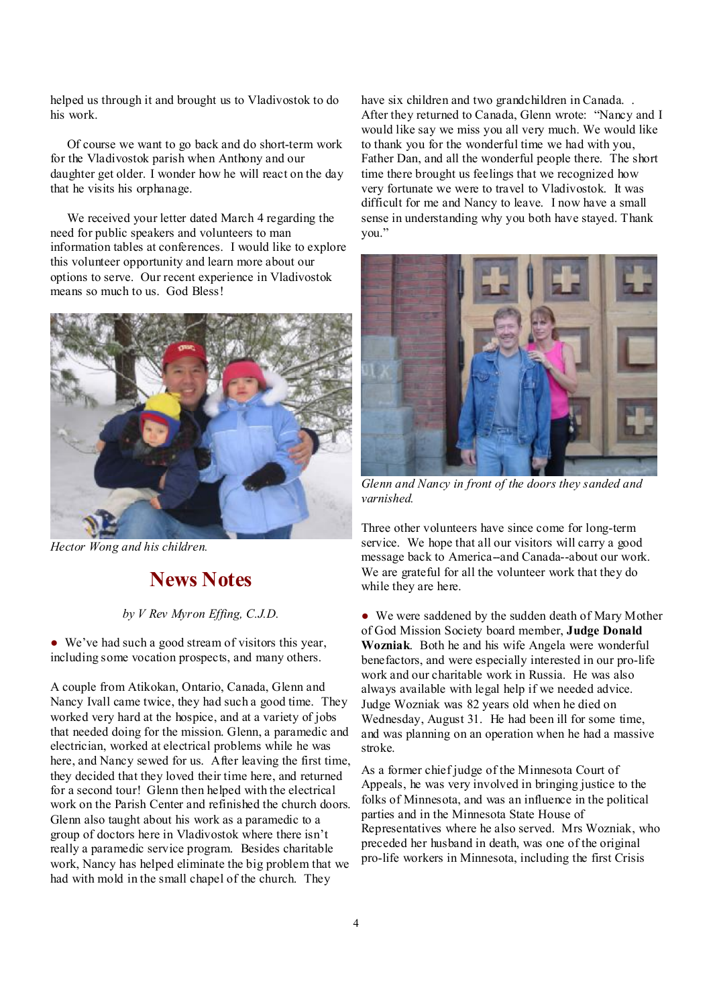helped us through it and brought us to Vladivostok to do his work.

 Of course we want to go back and do short-term work for the Vladivostok parish when Anthony and our daughter get older. I wonder how he will react on the day that he visits his orphanage.

 We received your letter dated March 4 regarding the need for public speakers and volunteers to man information tables at conferences. I would like to explore this volunteer opportunity and learn more about our options to serve. Our recent experience in Vladivostok means so much to us. God Bless!



*Hector Wong and his children.* 

## **News Notes**

#### *by V Rev Myron Effing, C.J.D.*

● We've had such a good stream of visitors this year, including some vocation prospects, and many others.

A couple from Atikokan, Ontario, Canada, Glenn and Nancy Ivall came twice, they had such a good time. They worked very hard at the hospice, and at a variety of jobs that needed doing for the mission. Glenn, a paramedic and electrician, worked at electrical problems while he was here, and Nancy sewed for us. After leaving the first time, they decided that they loved their time here, and returned for a second tour! Glenn then helped with the electrical work on the Parish Center and refinished the church doors. Glenn also taught about his work as a paramedic to a group of doctors here in Vladivostok where there isn't really a paramedic service program. Besides charitable work, Nancy has helped eliminate the big problem that we had with mold in the small chapel of the church. They

have six children and two grandchildren in Canada... After they returned to Canada, Glenn wrote: "Nancy and I would like say we miss you all very much. We would like to thank you for the wonderful time we had with you, Father Dan, and all the wonderful people there. The short time there brought us feelings that we recognized how very fortunate we were to travel to Vladivostok. It was difficult for me and Nancy to leave. I now have a small sense in understanding why you both have stayed. Thank you."



*Glenn and Nancy in front of the doors they sanded and varnished.* 

Three other volunteers have since come for long-term service. We hope that all our visitors will carry a good message back to America--and Canada--about our work. We are grateful for all the volunteer work that they do while they are here.

● We were saddened by the sudden death of Mary Mother of God Mission Society board member, **Judge Donald Wozniak**. Both he and his wife Angela were wonderful benefactors, and were especially interested in our pro-life work and our charitable work in Russia. He was also always available with legal help if we needed advice. Judge Wozniak was 82 years old when he died on Wednesday, August 31. He had been ill for some time, and was planning on an operation when he had a massive stroke.

As a former chief judge of the Minnesota Court of Appeals, he was very involved in bringing justice to the folks of Minnesota, and was an influence in the political parties and in the Minnesota State House of Representatives where he also served. Mrs Wozniak, who preceded her husband in death, was one of the original pro-life workers in Minnesota, including the first Crisis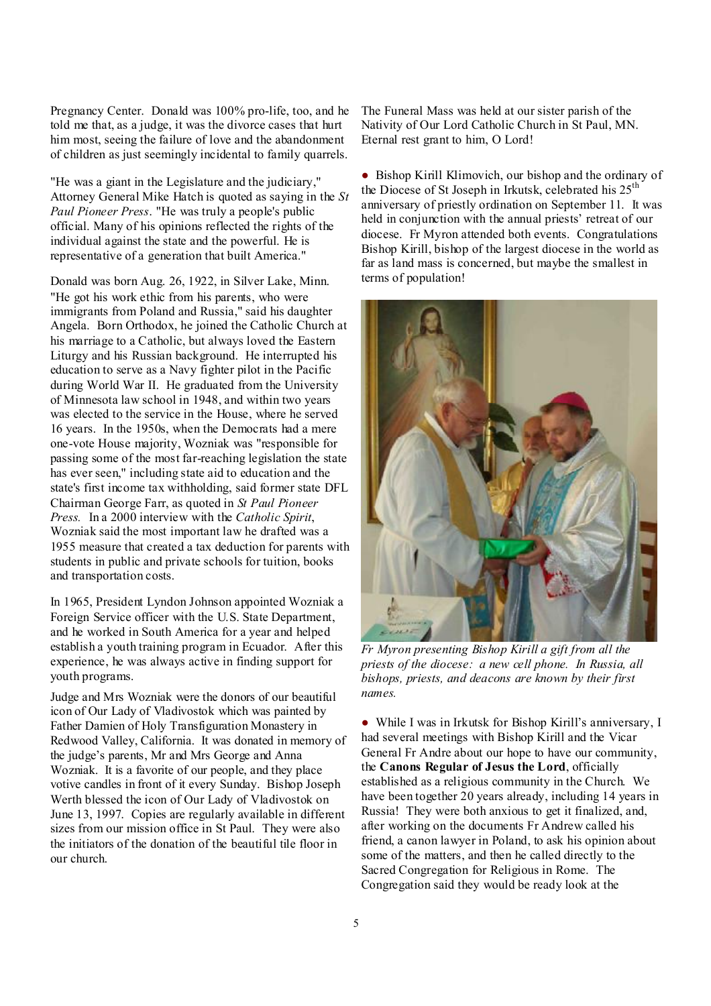Pregnancy Center. Donald was 100% pro-life, too, and he told me that, as a judge, it was the divorce cases that hurt him most, seeing the failure of love and the abandonment of children as just seemingly incidental to family quarrels.

"He was a giant in the Legislature and the judiciary," Attorney General Mike Hatch is quoted as saying in the *St Paul Pioneer Press*. "He was truly a people's public official. Many of his opinions reflected the rights of the individual against the state and the powerful. He is representative of a generation that built America."

Donald was born Aug. 26, 1922, in Silver Lake, Minn. "He got his work ethic from his parents, who were immigrants from Poland and Russia," said his daughter Angela. Born Orthodox, he joined the Catholic Church at his marriage to a Catholic, but always loved the Eastern Liturgy and his Russian background. He interrupted his education to serve as a Navy fighter pilot in the Pacific during World War II. He graduated from the University of Minnesota law school in 1948, and within two years was elected to the service in the House, where he served 16 years. In the 1950s, when the Democrats had a mere one-vote House majority, Wozniak was "responsible for passing some of the most far-reaching legislation the state has ever seen," including state aid to education and the state's first income tax withholding, said former state DFL Chairman George Farr, as quoted in *St Paul Pioneer Press.* In a 2000 interview with the *Catholic Spirit*, Wozniak said the most important law he drafted was a 1955 measure that created a tax deduction for parents with students in public and private schools for tuition, books and transportation costs.

In 1965, President Lyndon Johnson appointed Wozniak a Foreign Service officer with the U.S. State Department, and he worked in South America for a year and helped establish a youth training program in Ecuador. After this experience, he was always active in finding support for youth programs.

Judge and Mrs Wozniak were the donors of our beautiful icon of Our Lady of Vladivostok which was painted by Father Damien of Holy Transfiguration Monastery in Redwood Valley, California. It was donated in memory of the judge's parents, Mr and Mrs George and Anna Wozniak. It is a favorite of our people, and they place votive candles in front of it every Sunday. Bishop Joseph Werth blessed the icon of Our Lady of Vladivostok on June 13, 1997. Copies are regularly available in different sizes from our mission office in St Paul. They were also the initiators of the donation of the beautiful tile floor in our church.

The Funeral Mass was held at our sister parish of the Nativity of Our Lord Catholic Church in St Paul, MN. Eternal rest grant to him, O Lord!

● Bishop Kirill Klimovich, our bishop and the ordinary of the Diocese of St Joseph in Irkutsk, celebrated his 25<sup>th</sup> anniversary of priestly ordination on September 11. It was held in conjunction with the annual priests' retreat of our diocese. Fr Myron attended both events. Congratulations Bishop Kirill, bishop of the largest diocese in the world as far as land mass is concerned, but maybe the smallest in terms of population!



*Fr Myron presenting Bishop Kirill a gift from all the priests of the diocese: a new cell phone. In Russia, all bishops, priests, and deacons are known by their first names.* 

● While I was in Irkutsk for Bishop Kirill's anniversary, I had several meetings with Bishop Kirill and the Vicar General Fr Andre about our hope to have our community, the **Canons Regular of Jesus the Lord**, officially established as a religious community in the Church. We have been together 20 years already, including 14 years in Russia! They were both anxious to get it finalized, and, after working on the documents Fr Andrew called his friend, a canon lawyer in Poland, to ask his opinion about some of the matters, and then he called directly to the Sacred Congregation for Religious in Rome. The Congregation said they would be ready look at the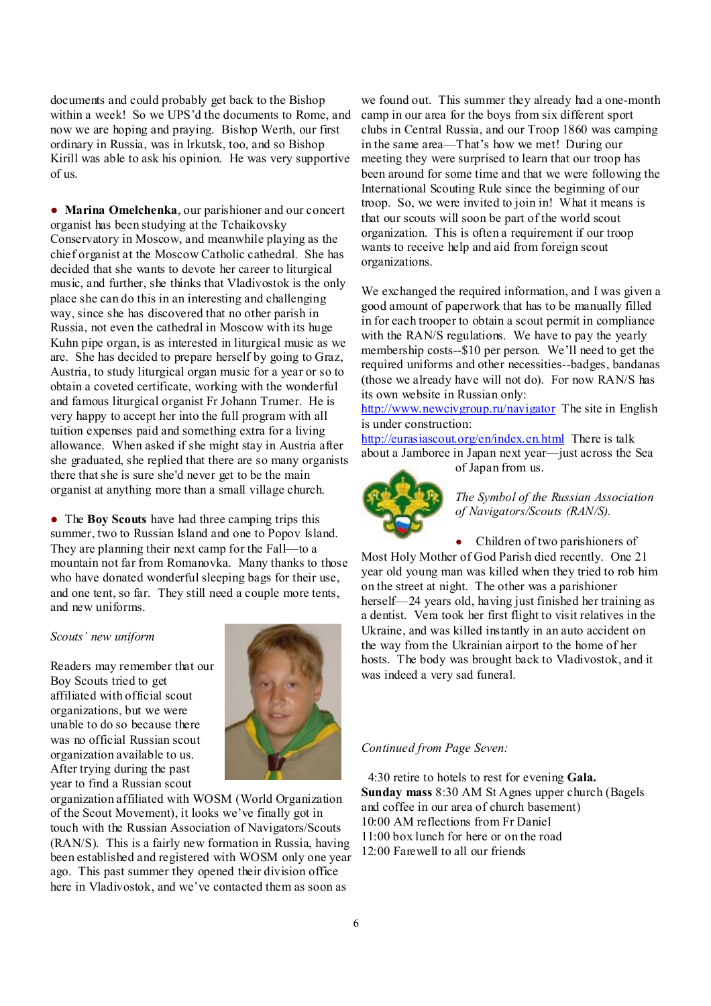documents and could probably get back to the Bishop within a week! So we UPS'd the documents to Rome, and now we are hoping and praying. Bishop Werth, our first ordinary in Russia, was in Irkutsk, too, and so Bishop Kirill was able to ask his opinion. He was very supportive of us.

● **Marina Omelchenka**, our parishioner and our concert organist has been studying at the Tchaikovsky Conservatory in Moscow, and meanwhile playing as the chief organist at the Moscow Catholic cathedral. She has decided that she wants to devote her career to liturgical music, and further, she thinks that Vladivostok is the only place she can do this in an interesting and challenging way, since she has discovered that no other parish in Russia, not even the cathedral in Moscow with its huge Kuhn pipe organ, is as interested in liturgical music as we are. She has decided to prepare herself by going to Graz, Austria, to study liturgical organ music for a year or so to obtain a coveted certificate, working with the wonderful and famous liturgical organist Fr Johann Trumer. He is very happy to accept her into the full program with all tuition expenses paid and something extra for a living allowance. When asked if she might stay in Austria after she graduated, she replied that there are so many organists there that she is sure she'd never get to be the main organist at anything more than a small village church.

● The **Boy Scouts** have had three camping trips this summer, two to Russian Island and one to Popov Island. They are planning their next camp for the Fall—to a mountain not far from Romanovka. Many thanks to those who have donated wonderful sleeping bags for their use, and one tent, so far. They still need a couple more tents, and new uniforms.

#### *Scouts' new uniform*

Readers may remember that our Boy Scouts tried to get affiliated with official scout organizations, but we were unable to do so because there was no official Russian scout organization available to us. After trying during the past year to find a Russian scout



organization affiliated with WOSM (World Organization of the Scout Movement), it looks we've finally got in touch with the Russian Association of Navigators/Scouts (RAN/S). This is a fairly new formation in Russia, having been established and registered with WOSM only one year ago. This past summer they opened their division office here in Vladivostok, and we've contacted them as soon as

we found out. This summer they already had a one-month camp in our area for the boys from six different sport clubs in Central Russia, and our Troop 1860 was camping in the same area—That's how we met! During our meeting they were surprised to learn that our troop has been around for some time and that we were following the International Scouting Rule since the beginning of our troop. So, we were invited to join in! What it means is that our scouts will soon be part of the world scout organization. This is often a requirement if our troop wants to receive help and aid from foreign scout organizations.

We exchanged the required information, and I was given a good amount of paperwork that has to be manually filled in for each trooper to obtain a scout permit in compliance with the RAN/S regulations. We have to pay the yearly membership costs--\$10 per person. We'll need to get the required uniforms and other necessities--badges, bandanas (those we already have will not do). For now RAN/S has its own website in Russian only:

<http://www.newcivgroup.ru/navigator> The site in English is under construction:

<http://eurasiascout.org/en/index.en.html> There is talk about a Jamboree in Japan next year—just across the Sea of Japan from us.



*The Symbol of the Russian Association of Navigators/Scouts (RAN/S).*

• Children of two parishioners of Most Holy Mother of God Parish died recently. One 21 year old young man was killed when they tried to rob him on the street at night. The other was a parishioner herself—24 years old, having just finished her training as a dentist. Vera took her first flight to visit relatives in the Ukraine, and was killed instantly in an auto accident on the way from the Ukrainian airport to the home of her hosts. The body was brought back to Vladivostok, and it was indeed a very sad funeral.

#### *Continued from Page Seven:*

 4:30 retire to hotels to rest for evening **Gala. Sunday mass** 8:30 AM St Agnes upper church (Bagels and coffee in our area of church basement) 10:00 AM reflections from Fr Daniel 11:00 box lunch for here or on the road 12:00 Farewell to all our friends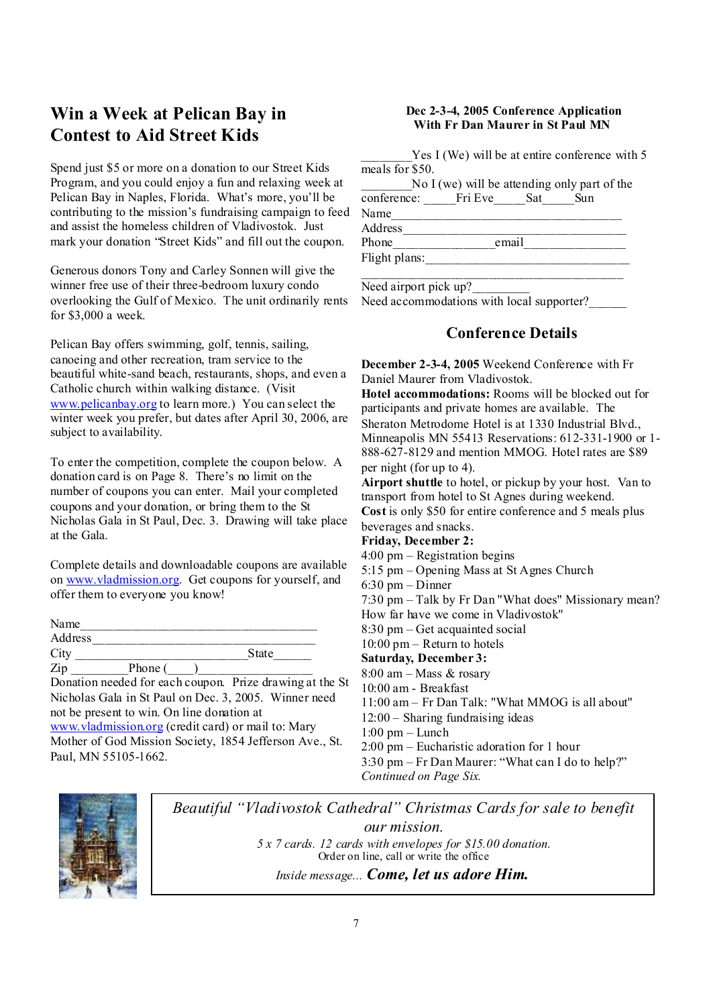## **Win a Week at Pelican Bay in Contest to Aid Street Kids**

Spend just \$5 or more on a donation to our Street Kids Program, and you could enjoy a fun and relaxing week at Pelican Bay in Naples, Florida. What's more, you'll be contributing to the mission's fundraising campaign to feed and assist the homeless children of Vladivostok. Just mark your donation "Street Kids" and fill out the coupon.

Generous donors Tony and Carley Sonnen will give the winner free use of their three-bedroom luxury condo overlooking the Gulf of Mexico. The unit ordinarily rents for \$3,000 a week.

Pelican Bay offers swimming, golf, tennis, sailing, canoeing and other recreation, tram service to the beautiful white-sand beach, restaurants, shops, and even a Catholic church within walking distance. (Visit [www.pelicanbay.org](http://www.pelicanbay.org) to learn more.) You can select the winter week you prefer, but dates after April 30, 2006, are subject to availability.

To enter the competition, complete the coupon below. A donation card is on Page 8. There's no limit on the number of coupons you can enter. Mail your completed coupons and your donation, or bring them to the St Nicholas Gala in St Paul, Dec. 3. Drawing will take place at the Gala.

Complete details and downloadable coupons are available on [www.vladmission.org.](http://www.vladmission.org) Get coupons for yourself, and offer them to everyone you know!

| Name    |         |       |
|---------|---------|-------|
| Address |         |       |
| City    |         | State |
| Zip     | Phone ( |       |

Donation needed for each coupon. Prize drawing at the St Nicholas Gala in St Paul on Dec. 3, 2005. Winner need not be present to win. On line donation at [www.vladmission.org](http://www.vladmission.org) (credit card) or mail to: Mary Mother of God Mission Society, 1854 Jefferson Ave., St. Paul, MN 55105-1662.

#### **Dec 2-3-4, 2005 Conference Application With Fr Dan Maurer in St Paul MN**

Yes I (We) will be at entire conference with 5 meals for  $$50$ .

No I (we) will be attending only part of the conference: Fri Eve Sat Sun Name Address Phone email Flight plans:

Need airport pick up?

Need accommodations with local supporter?

## **Conference Details**

**December 2-3-4, 2005** Weekend Conference with Fr Daniel Maurer from Vladivostok.

**Hotel accommodations:** Rooms will be blocked out for participants and private homes are available. The Sheraton Metrodome Hotel is at 1330 Industrial Blvd., Minneapolis MN 55413 Reservations: 612-331-1900 or 1- 888-627-8129 and mention MMOG. Hotel rates are \$89 per night (for up to 4).

**Airport shuttle** to hotel, or pickup by your host. Van to transport from hotel to St Agnes during weekend.

**Cost** is only \$50 for entire conference and 5 meals plus beverages and snacks.

#### **Friday, December 2:**

4:00 pm – Registration begins

5:15 pm – Opening Mass at St Agnes Church

6:30 pm – Dinner

7:30 pm – Talk by Fr Dan "What does" Missionary mean?

How far have we come in Vladivostok"

8:30 pm – Get acquainted social

10:00 pm – Return to hotels

**Saturday, December 3:**

8:00 am – Mass & rosary

10:00 am - Breakfast

11:00 am – Fr Dan Talk: "What MMOG is all about"

12:00 – Sharing fundraising ideas

1:00 pm – Lunch

2:00 pm – Eucharistic adoration for 1 hour

3:30 pm – Fr Dan Maurer: "What can I do to help?"

*Continued on Page Six.*



*Beautiful "Vladivostok Cathedral" Christmas Cards for sale to benefit our mission. 5 x 7 cards. 12 cards with envelopes for \$15.00 donation.*  Order on line, call or write the office

*Inside message... Come, let us adore Him.*